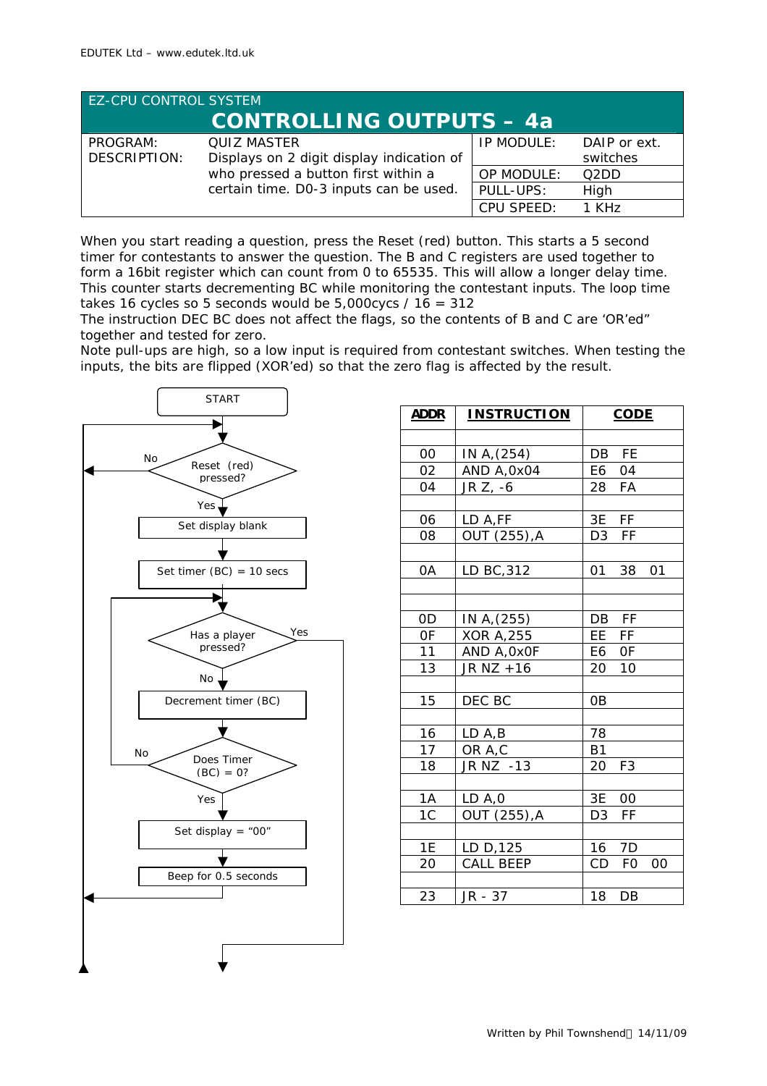| <b>EZ-CPU CONTROL SYSTEM</b>    |                                                                 |            |                          |
|---------------------------------|-----------------------------------------------------------------|------------|--------------------------|
| <b>CONTROLLING OUTPUTS - 4a</b> |                                                                 |            |                          |
| PROGRAM:<br><b>DESCRIPTION:</b> | <b>QUIZ MASTER</b><br>Displays on 2 digit display indication of | IP MODULE: | DAIP or ext.<br>switches |
|                                 | who pressed a button first within a                             | OP MODULE: | O2DD                     |
|                                 | certain time. D0-3 inputs can be used.                          | PULL-UPS:  | High                     |
|                                 |                                                                 | CPU SPEED: | $1$ KH $z$               |

When you start reading a question, press the Reset (red) button. This starts a 5 second timer for contestants to answer the question. The B and C registers are used together to form a 16bit register which can count from 0 to 65535. This will allow a longer delay time. This counter starts decrementing BC while monitoring the contestant inputs. The loop time takes 16 cycles so 5 seconds would be  $5,000$ cycs /  $16 = 312$ 

The instruction DEC BC does not affect the flags, so the contents of B and C are 'OR'ed" together and tested for zero.

Note pull-ups are high, so a low input is required from contestant switches. When testing the inputs, the bits are flipped (XOR'ed) so that the zero flag is affected by the result.



| <b>ADDR</b>     | <b>INSTRUCTION</b>      | <b>CODE</b>           |
|-----------------|-------------------------|-----------------------|
|                 |                         |                       |
| 00              | IN A, (254)             | FE<br>DB              |
| 02              | AND A, 0x04             | E6<br>04              |
| 04              | JR Z, -6                | 28 FA                 |
|                 |                         |                       |
| 06              | LD A,FF                 | 3E FF                 |
| 08              | OUT (255), A            | D <sub>3</sub><br>FF  |
|                 |                         |                       |
| 0A              | LD BC, 312              | 38<br>01<br>01        |
|                 |                         |                       |
|                 |                         |                       |
| 0D              | IN A, (255)             | - FF<br>DB            |
| 0F              | <b>XOR A, 255</b>       | EE FF                 |
| 11              | AND A, OxOF             | E6 OF                 |
| 13              | JR NZ +16               | 10<br>20              |
|                 |                         |                       |
| 15              | DEC BC                  | 0B                    |
|                 |                         |                       |
| 16              | LD A,B                  | 78                    |
| 17              | OR A,C                  | <b>B1</b>             |
| 18              | JR NZ -13               | 20<br>F <sub>3</sub>  |
| 1A              |                         | 3E<br>00              |
| $\overline{1}C$ | LD A, 0<br>OUT (255), A | FF<br>D <sub>3</sub>  |
|                 |                         |                       |
| 1E              | LD D, 125               | 16<br>7D              |
| 20              | <b>CALL BEEP</b>        | CD<br><b>FO</b><br>00 |
|                 |                         |                       |
| 23              | JR - 37                 | 18<br>DB              |